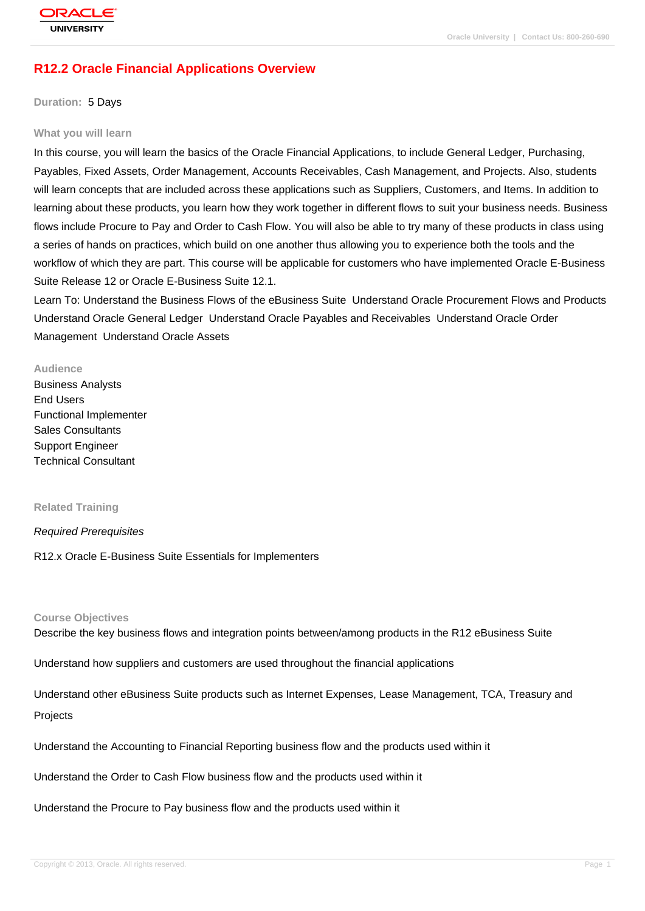# **[R12.2 Oracle F](http://education.oracle.com/pls/web_prod-plq-dad/db_pages.getpage?page_id=3)inancial Applications Overview**

### **Duration:** 5 Days

#### **What you will learn**

In this course, you will learn the basics of the Oracle Financial Applications, to include General Ledger, Purchasing, Payables, Fixed Assets, Order Management, Accounts Receivables, Cash Management, and Projects. Also, students will learn concepts that are included across these applications such as Suppliers, Customers, and Items. In addition to learning about these products, you learn how they work together in different flows to suit your business needs. Business flows include Procure to Pay and Order to Cash Flow. You will also be able to try many of these products in class using a series of hands on practices, which build on one another thus allowing you to experience both the tools and the workflow of which they are part. This course will be applicable for customers who have implemented Oracle E-Business Suite Release 12 or Oracle E-Business Suite 12.1.

Learn To: Understand the Business Flows of the eBusiness Suite Understand Oracle Procurement Flows and Products Understand Oracle General Ledger Understand Oracle Payables and Receivables Understand Oracle Order Management Understand Oracle Assets

#### **Audience**

Business Analysts End Users Functional Implementer Sales Consultants Support Engineer Technical Consultant

#### **Related Training**

### Required Prerequisites

### R12.x Oracle E-Business Suite Essentials for Implementers

#### **Course Objectives**

Describe the key business flows and integration points between/among products in the R12 eBusiness Suite

Understand how suppliers and customers are used throughout the financial applications

Understand other eBusiness Suite products such as Internet Expenses, Lease Management, TCA, Treasury and Projects

## Understand the Accounting to Financial Reporting business flow and the products used within it

Understand the Order to Cash Flow business flow and the products used within it

Understand the Procure to Pay business flow and the products used within it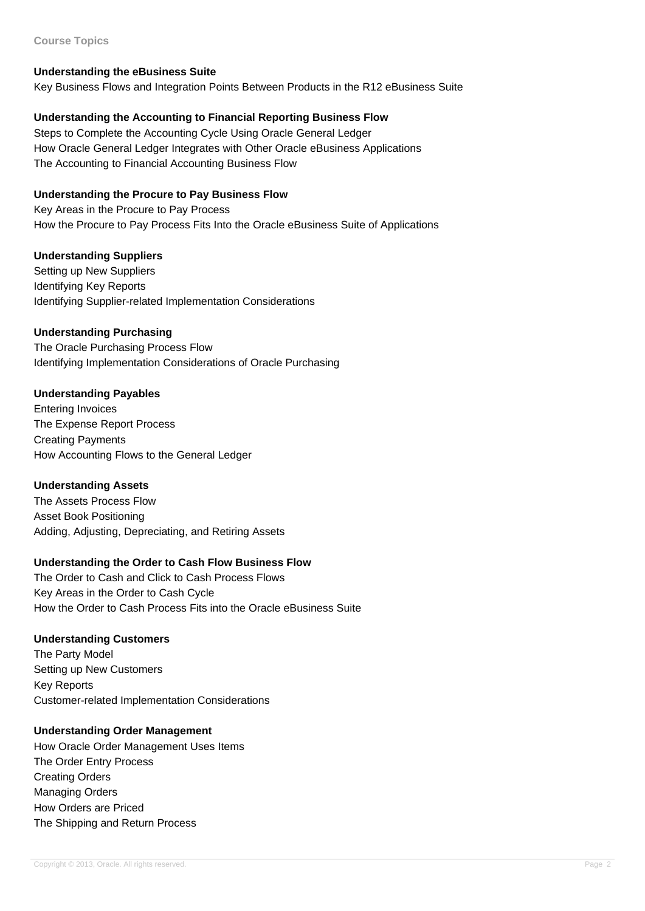### **Course Topics**

## **Understanding the eBusiness Suite**

Key Business Flows and Integration Points Between Products in the R12 eBusiness Suite

## **Understanding the Accounting to Financial Reporting Business Flow**

Steps to Complete the Accounting Cycle Using Oracle General Ledger How Oracle General Ledger Integrates with Other Oracle eBusiness Applications The Accounting to Financial Accounting Business Flow

## **Understanding the Procure to Pay Business Flow**

Key Areas in the Procure to Pay Process How the Procure to Pay Process Fits Into the Oracle eBusiness Suite of Applications

## **Understanding Suppliers**

Setting up New Suppliers Identifying Key Reports Identifying Supplier-related Implementation Considerations

## **Understanding Purchasing**

The Oracle Purchasing Process Flow Identifying Implementation Considerations of Oracle Purchasing

## **Understanding Payables**

Entering Invoices The Expense Report Process Creating Payments How Accounting Flows to the General Ledger

## **Understanding Assets**

The Assets Process Flow Asset Book Positioning Adding, Adjusting, Depreciating, and Retiring Assets

## **Understanding the Order to Cash Flow Business Flow**

The Order to Cash and Click to Cash Process Flows Key Areas in the Order to Cash Cycle How the Order to Cash Process Fits into the Oracle eBusiness Suite

## **Understanding Customers**

The Party Model Setting up New Customers Key Reports Customer-related Implementation Considerations

## **Understanding Order Management**

How Oracle Order Management Uses Items The Order Entry Process Creating Orders Managing Orders How Orders are Priced The Shipping and Return Process